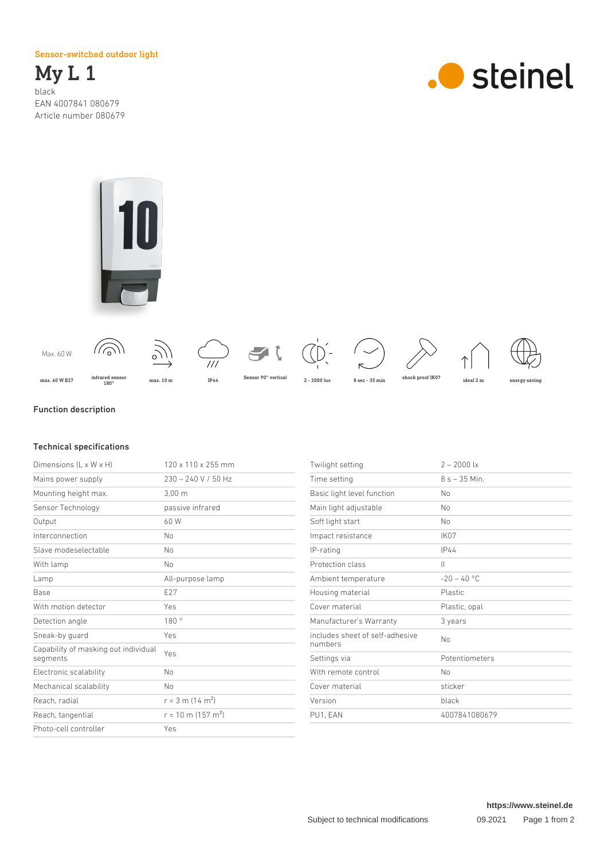Sensor-switched outdoor light

My L 1 black EAN 4007841 080679 Article number 080679







## Function description

## Technical specifications

| Dimensions (L x W x H)                           | 120 x 110 x 255 mm               |
|--------------------------------------------------|----------------------------------|
| Mains power supply                               | $230 - 240$ V / 50 Hz            |
| Mounting height max.                             | 3.00 <sub>m</sub>                |
| Sensor Technology                                | passive infrared                 |
| Output                                           | 60 W                             |
| Interconnection                                  | No                               |
| Slave modeselectable                             | No                               |
| With lamp                                        | No                               |
| Lamp                                             | All-purpose lamp                 |
| <b>Base</b>                                      | E27                              |
| With motion detector                             | Yes                              |
| Detection angle                                  | 180°                             |
| Sneak-by guard                                   | Yes                              |
| Capability of masking out individual<br>segments | Yes                              |
| Electronic scalability                           | No                               |
| Mechanical scalability                           | No                               |
| Reach, radial                                    | $r = 3$ m (14 m <sup>2</sup> )   |
| Reach, tangential                                | $r = 10$ m (157 m <sup>2</sup> ) |
| Photo-cell controller                            | Yes                              |

| $2 - 2000$ lx   |
|-----------------|
| $8 s - 35 Min.$ |
| No              |
| No              |
| No              |
| IK07            |
| <b>IP44</b>     |
| $\mathbf{  }$   |
| $-20 - 40$ °C   |
| <b>Plastic</b>  |
| Plastic, opal   |
| 3 years         |
| No              |
| Potentiometers  |
| No              |
| sticker         |
| black           |
| 4007841080679   |
|                 |